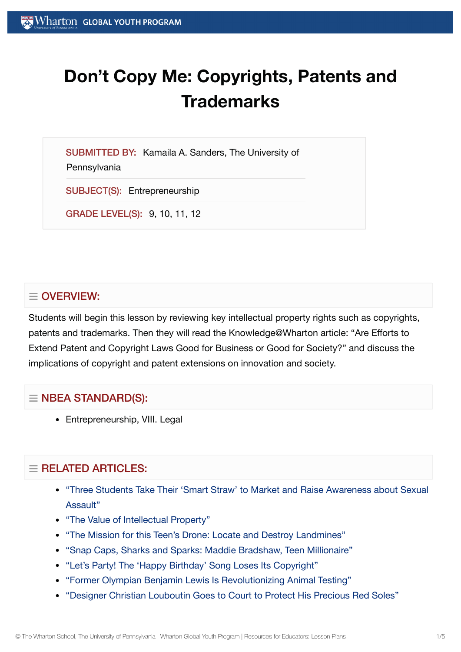# **Don't Copy Me: Copyrights, Patents and Trademarks**

SUBMITTED BY: Kamaila A. Sanders, The University of

**Pennsylvania** 

SUBJECT(S): Entrepreneurship

GRADE LEVEL(S): 9, 10, 11, 12

# $\equiv$  OVERVIEW:

Students will begin this lesson by reviewing key intellectual property rights such as copyrights, patents and trademarks. Then they will read the Knowledge@Wharton article: "Are Efforts to Extend Patent and Copyright Laws Good for Business or Good for Society?" and discuss the implications of copyright and patent extensions on innovation and society.

## $\equiv$  NBEA STANDARD(S):

• Entrepreneurship, VIII. Legal

# $=$  RELATED ARTICLES:

- "Three Students Take Their 'Smart Straw' to Market and Raise [Awareness about](https://globalyouth.wharton.upenn.edu/articles/three-students-take-smart-straws-market-raise-awareness-sexual-assault/) Sexual Assault"
- "The Value of [Intellectual](https://globalyouth.wharton.upenn.edu/articles/the-value-of-intellectual-property/) Property"
- "The Mission for this Teen's Drone: Locate and [Destroy Landmines"](https://globalyouth.wharton.upenn.edu/articles/drone-detects-detonates-landmines-saves-lives/)
- "Snap Caps, [Sharks and](https://globalyouth.wharton.upenn.edu/articles/snap-caps-sharks-and-sparks-maddie-bradshaw-teen-millionaire/) Sparks: Maddie Bradshaw, Teen Millionaire"
- "Let's Party! The 'Happy Birthday' Song [Loses Its Copyright"](https://globalyouth.wharton.upenn.edu/articles/the-happy-birthday-song-loses-its-copyright/)
- "Former Olympian Benjamin Lewis Is [Revolutionizing](https://globalyouth.wharton.upenn.edu/articles/former-olympian-benjamin-lewis-revolutionizes-animal-testing/) Animal Testing"
- "Designer Christian Louboutin Goes to Court to Protect [His Precious Red](https://globalyouth.wharton.upenn.edu/articles/designer-christian-louboutin-goes-court-protect-precious-red-soles/) Soles"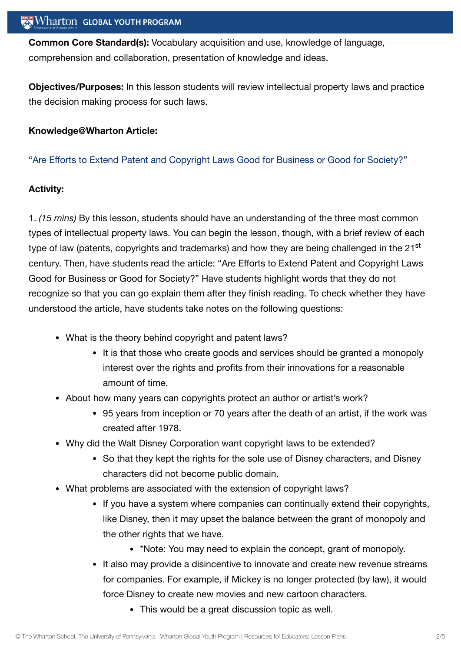**Common Core Standard(s):** Vocabulary acquisition and use, knowledge of language, comprehension and collaboration, presentation of knowledge and ideas.

**Objectives/Purposes:** In this lesson students will review intellectual property laws and practice the decision making process for such laws.

#### **Knowledge@Wharton Article:**

"Are Efforts to Extend Patent and Copyright Laws Good for [Business or](http://knowledge.wharton.upenn.edu/article.cfm?articleid=378&CFID=159967741&CFTOKEN=32725743&jsessionid=a8303c9aa9a7564474b8787917777a616c79) Good for Society?"

#### **Activity:**

1. *(15 mins)* By this lesson, students should have an understanding of the three most common types of intellectual property laws. You can begin the lesson, though, with a brief review of each type of law (patents, copyrights and trademarks) and how they are being challenged in the 21<sup>st</sup> century. Then, have students read the article: "Are Efforts to Extend Patent and Copyright Laws Good for Business or Good for Society?" Have students highlight words that they do not recognize so that you can go explain them after they finish reading. To check whether they have understood the article, have students take notes on the following questions:

- What is the theory behind copyright and patent laws?
	- It is that those who create goods and services should be granted a monopoly interest over the rights and profits from their innovations for a reasonable amount of time.
- About how many years can copyrights protect an author or artist's work?
	- 95 years from inception or 70 years after the death of an artist, if the work was created after 1978.
- Why did the Walt Disney Corporation want copyright laws to be extended?
	- So that they kept the rights for the sole use of Disney characters, and Disney characters did not become public domain.
- What problems are associated with the extension of copyright laws?
	- If you have a system where companies can continually extend their copyrights, like Disney, then it may upset the balance between the grant of monopoly and the other rights that we have.
		- \*Note: You may need to explain the concept, grant of monopoly.
	- It also may provide a disincentive to innovate and create new revenue streams for companies. For example, if Mickey is no longer protected (by law), it would force Disney to create new movies and new cartoon characters.
		- This would be a great discussion topic as well.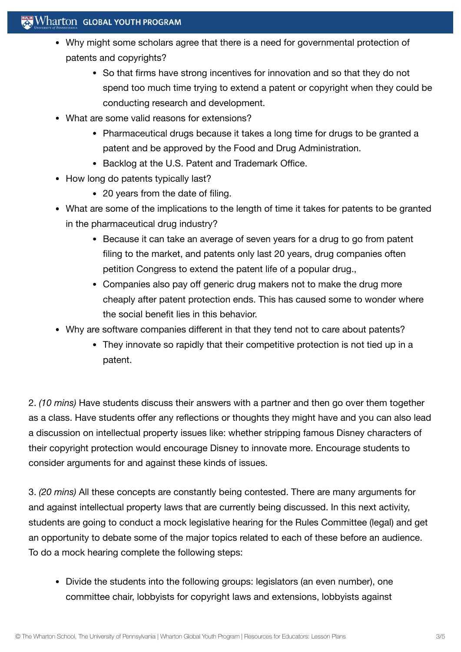## $\mathbf{W}$  Wharton Global youth program

- Why might some scholars agree that there is a need for governmental protection of patents and copyrights?
	- So that firms have strong incentives for innovation and so that they do not spend too much time trying to extend a patent or copyright when they could be conducting research and development.
- What are some valid reasons for extensions?
	- Pharmaceutical drugs because it takes a long time for drugs to be granted a patent and be approved by the Food and Drug Administration.
	- Backlog at the U.S. Patent and Trademark Office.
- How long do patents typically last?
	- 20 years from the date of filing.
- What are some of the implications to the length of time it takes for patents to be granted in the pharmaceutical drug industry?
	- Because it can take an average of seven years for a drug to go from patent filing to the market, and patents only last 20 years, drug companies often petition Congress to extend the patent life of a popular drug.,
	- Companies also pay off generic drug makers not to make the drug more cheaply after patent protection ends. This has caused some to wonder where the social benefit lies in this behavior.
- Why are software companies different in that they tend not to care about patents?
	- They innovate so rapidly that their competitive protection is not tied up in a patent.

2. *(10 mins)* Have students discuss their answers with a partner and then go over them together as a class. Have students offer any reflections or thoughts they might have and you can also lead a discussion on intellectual property issues like: whether stripping famous Disney characters of their copyright protection would encourage Disney to innovate more. Encourage students to consider arguments for and against these kinds of issues.

3. *(20 mins)* All these concepts are constantly being contested. There are many arguments for and against intellectual property laws that are currently being discussed. In this next activity, students are going to conduct a mock legislative hearing for the Rules Committee (legal) and get an opportunity to debate some of the major topics related to each of these before an audience. To do a mock hearing complete the following steps:

• Divide the students into the following groups: legislators (an even number), one committee chair, lobbyists for copyright laws and extensions, lobbyists against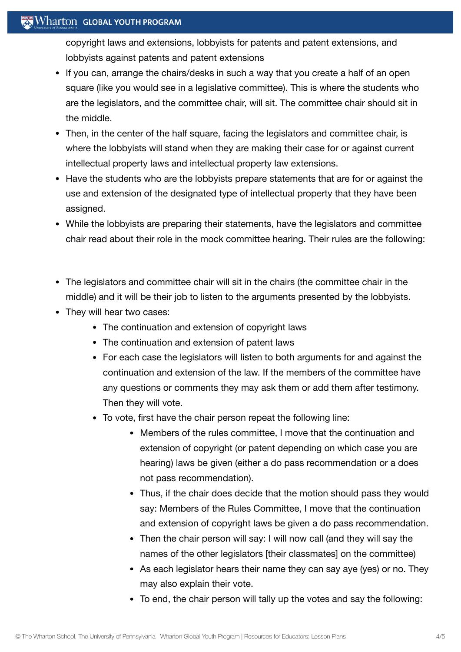## Wharton GLOBAL YOUTH PROGRAM

copyright laws and extensions, lobbyists for patents and patent extensions, and lobbyists against patents and patent extensions

- If you can, arrange the chairs/desks in such a way that you create a half of an open square (like you would see in a legislative committee). This is where the students who are the legislators, and the committee chair, will sit. The committee chair should sit in the middle.
- Then, in the center of the half square, facing the legislators and committee chair, is where the lobbyists will stand when they are making their case for or against current intellectual property laws and intellectual property law extensions.
- Have the students who are the lobbyists prepare statements that are for or against the use and extension of the designated type of intellectual property that they have been assigned.
- While the lobbyists are preparing their statements, have the legislators and committee chair read about their role in the mock committee hearing. Their rules are the following:
- The legislators and committee chair will sit in the chairs (the committee chair in the middle) and it will be their job to listen to the arguments presented by the lobbyists.
- They will hear two cases:
	- The continuation and extension of copyright laws
	- The continuation and extension of patent laws
	- For each case the legislators will listen to both arguments for and against the continuation and extension of the law. If the members of the committee have any questions or comments they may ask them or add them after testimony. Then they will vote.
	- To vote, first have the chair person repeat the following line:
		- Members of the rules committee, I move that the continuation and extension of copyright (or patent depending on which case you are hearing) laws be given (either a do pass recommendation or a does not pass recommendation).
		- Thus, if the chair does decide that the motion should pass they would say: Members of the Rules Committee, I move that the continuation and extension of copyright laws be given a do pass recommendation.
		- Then the chair person will say: I will now call (and they will say the names of the other legislators [their classmates] on the committee)
		- As each legislator hears their name they can say aye (yes) or no. They may also explain their vote.
		- To end, the chair person will tally up the votes and say the following: